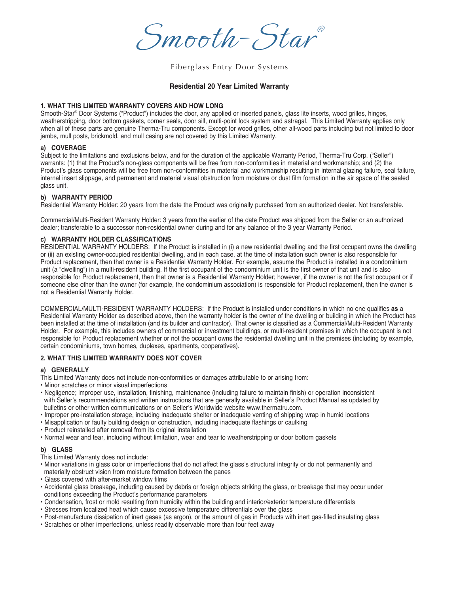Smooth-Star ®

Fiberglass Entry Door Systems

## **Residential 20 Year Limited Warranty**

### **1. WHAT THIS LIMITED WARRANTY COVERS AND HOW LONG**

Smooth-Star® Door Systems ("Product") includes the door, any applied or inserted panels, glass lite inserts, wood grilles, hinges, weatherstripping, door bottom gaskets, corner seals, door sill, multi-point lock system and astragal. This Limited Warranty applies only when all of these parts are genuine Therma-Tru components. Except for wood grilles, other all-wood parts including but not limited to door jambs, mull posts, brickmold, and mull casing are not covered by this Limited Warranty.

### **a) COVERAGE**

Subject to the limitations and exclusions below, and for the duration of the applicable Warranty Period, Therma-Tru Corp. ("Seller") warrants: (1) that the Product's non-glass components will be free from non-conformities in material and workmanship; and (2) the Product's glass components will be free from non-conformities in material and workmanship resulting in internal glazing failure, seal failure, internal insert slippage, and permanent and material visual obstruction from moisture or dust film formation in the air space of the sealed glass unit.

### **b) WARRANTY PERIOD**

Residential Warranty Holder: 20 years from the date the Product was originally purchased from an authorized dealer. Not transferable.

Commercial/Multi-Resident Warranty Holder: 3 years from the earlier of the date Product was shipped from the Seller or an authorized dealer; transferable to a successor non-residential owner during and for any balance of the 3 year Warranty Period.

### **c) WARRANTY HOLDER CLASSIFICATIONS**

RESIDENTIAL WARRANTY HOLDERS: If the Product is installed in (i) a new residential dwelling and the first occupant owns the dwelling or (ii) an existing owner-occupied residential dwelling, and in each case, at the time of installation such owner is also responsible for Product replacement, then that owner is a Residential Warranty Holder. For example, assume the Product is installed in a condominium unit (a "dwelling") in a multi-resident building. If the first occupant of the condominium unit is the first owner of that unit and is also responsible for Product replacement, then that owner is a Residential Warranty Holder; however, if the owner is not the first occupant or if someone else other than the owner (for example, the condominium association) is responsible for Product replacement, then the owner is not a Residential Warranty Holder.

COMMERCIAL/MULTI-RESIDENT WARRANTY HOLDERS: If the Product is installed under conditions in which no one qualifies **as** a Residential Warranty Holder as described above, then the warranty holder is the owner of the dwelling or building in which the Product has been installed at the time of installation (and its builder and contractor). That owner is classified as a Commercial/Multi-Resident Warranty Holder. For example, this includes owners of commercial or investment buildings, or multi-resident premises in which the occupant is not responsible for Product replacement whether or not the occupant owns the residential dwelling unit in the premises (including by example, certain condominiums, town homes, duplexes, apartments, cooperatives).

# **2. WHAT THIS LIMITED WARRANTY DOES NOT COVER**

#### **a) GENERALLY**

This Limited Warranty does not include non-conformities or damages attributable to or arising from:

- Minor scratches or minor visual imperfections
- Negligence; improper use, installation, finishing, maintenance (including failure to maintain finish) or operation inconsistent with Seller's recommendations and written instructions that are generally available in Seller's Product Manual as updated by bulletins or other written communications or on Seller's Worldwide website www.thermatru.com.
- Improper pre-installation storage, including inadequate shelter or inadequate venting of shipping wrap in humid locations
- Misapplication or faulty building design or construction, including inadequate flashings or caulking
- Product reinstalled after removal from its original installation
- Normal wear and tear, including without limitation, wear and tear to weatherstripping or door bottom gaskets

## **b) GLASS**

This Limited Warranty does not include:

- Minor variations in glass color or imperfections that do not affect the glass's structural integrity or do not permanently and materially obstruct vision from moisture formation between the panes
- Glass covered with after-market window films
- Accidental glass breakage, including caused by debris or foreign objects striking the glass, or breakage that may occur under conditions exceeding the Product's performance parameters
- Condensation, frost or mold resulting from humidity within the building and interior/exterior temperature differentials
- Stresses from localized heat which cause excessive temperature differentials over the glass
- Post-manufacture dissipation of inert gases (as argon), or the amount of gas in Products with inert gas-filled insulating glass
- Scratches or other imperfections, unless readily observable more than four feet away